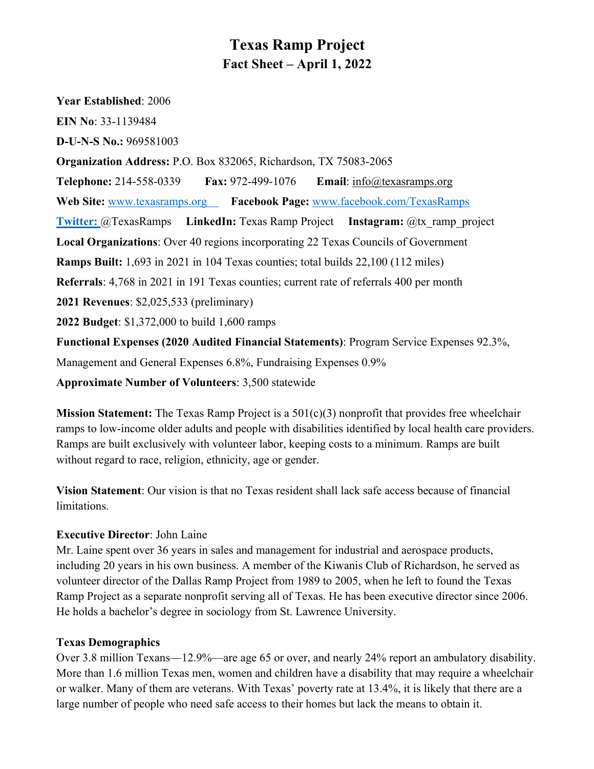# **Texas Ramp Project Fact Sheet – April 1, 2022**

**Year Established**: 2006 **EIN No**: 33-1139484 **D-U-N-S No.:** 969581003 **Organization Address:** P.O. Box 832065, Richardson, TX 75083-2065 **Telephone:** 214-558-0339 **Fax:** 972-499-1076 **Email**: info@texasramps.org **Web Site:** www.texasramps.org **Facebook Page:** www.facebook.com/TexasRamps **Twitter:** @TexasRamps **LinkedIn:** Texas Ramp Project **Instagram:** @tx\_ramp\_project **Local Organizations**: Over 40 regions incorporating 22 Texas Councils of Government **Ramps Built:** 1,693 in 2021 in 104 Texas counties; total builds 22,100 (112 miles) **Referrals**: 4,768 in 2021 in 191 Texas counties; current rate of referrals 400 per month **2021 Revenues**: \$2,025,533 (preliminary) **2022 Budget**: \$1,372,000 to build 1,600 ramps **Functional Expenses (2020 Audited Financial Statements)**: Program Service Expenses 92.3%, Management and General Expenses 6.8%, Fundraising Expenses 0.9% **Approximate Number of Volunteers**: 3,500 statewide

**Mission Statement:** The Texas Ramp Project is a 501(c)(3) nonprofit that provides free wheelchair ramps to low-income older adults and people with disabilities identified by local health care providers. Ramps are built exclusively with volunteer labor, keeping costs to a minimum. Ramps are built without regard to race, religion, ethnicity, age or gender.

**Vision Statement**: Our vision is that no Texas resident shall lack safe access because of financial limitations.

## **Executive Director**: John Laine

Mr. Laine spent over 36 years in sales and management for industrial and aerospace products, including 20 years in his own business. A member of the Kiwanis Club of Richardson, he served as volunteer director of the Dallas Ramp Project from 1989 to 2005, when he left to found the Texas Ramp Project as a separate nonprofit serving all of Texas. He has been executive director since 2006. He holds a bachelor's degree in sociology from St. Lawrence University.

### **Texas Demographics**

Over 3.8 million Texans—12.9%—are age 65 or over, and nearly 24% report an ambulatory disability. More than 1.6 million Texas men, women and children have a disability that may require a wheelchair or walker. Many of them are veterans. With Texas' poverty rate at 13.4%, it is likely that there are a large number of people who need safe access to their homes but lack the means to obtain it.